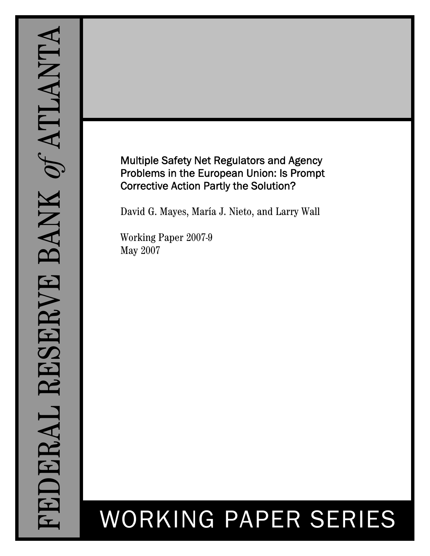# Multiple Safety Net Regulators and Agency Problems in the European Union: Is Prompt Corrective Action Partly the Solution?

David G. Mayes, María J. Nieto, and Larry Wall

Working Paper 2007-9 May 2007

# WORKING PAPER SERIES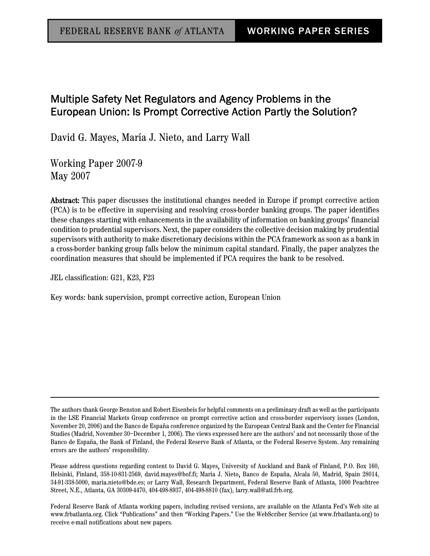# Multiple Safety Net Regulators and Agency Problems in the European Union: Is Prompt Corrective Action Partly the Solution?

David G. Mayes, María J. Nieto, and Larry Wall

Working Paper 2007-9 May 2007

Abstract: This paper discusses the institutional changes needed in Europe if prompt corrective action (PCA) is to be effective in supervising and resolving cross-border banking groups. The paper identifies these changes starting with enhancements in the availability of information on banking groups' financial condition to prudential supervisors. Next, the paper considers the collective decision making by prudential supervisors with authority to make discretionary decisions within the PCA framework as soon as a bank in a cross-border banking group falls below the minimum capital standard. Finally, the paper analyzes the coordination measures that should be implemented if PCA requires the bank to be resolved.

JEL classification: G21, K23, F23

Key words: bank supervision, prompt corrective action, European Union

The authors thank George Benston and Robert Eisenbeis for helpful comments on a preliminary draft as well as the participants in the LSE Financial Markets Group conference on prompt corrective action and cross-border supervisory issues (London, November 20, 2006) and the Banco de España conference organized by the European Central Bank and the Center for Financial Studies (Madrid, November 30–December 1, 2006). The views expressed here are the authors' and not necessarily those of the Banco de España, the Bank of Finland, the Federal Reserve Bank of Atlanta, or the Federal Reserve System. Any remaining errors are the authors' responsibility.

Please address questions regarding content to David G. Mayes, University of Auckland and Bank of Finland, P.O. Box 160, Helsinki, Finland, 358-10-831-2569, david.mayes@bof.fi; María J. Nieto, Banco de España, Alcala 50, Madrid, Spain 28014, 34-91-338-5000, maria.nieto@bde.es; or Larry Wall, Research Department, Federal Reserve Bank of Atlanta, 1000 Peachtree Street, N.E., Atlanta, GA 30309-4470, 404-498-8937, 404-498-8810 (fax), larry.wall@atl.frb.org.

Federal Reserve Bank of Atlanta working papers, including revised versions, are available on the Atlanta Fed's Web site at www.frbatlanta.org. Click "Publications" and then "Working Papers." Use the WebScriber Service (at www.frbatlanta.org) to receive e-mail notifications about new papers.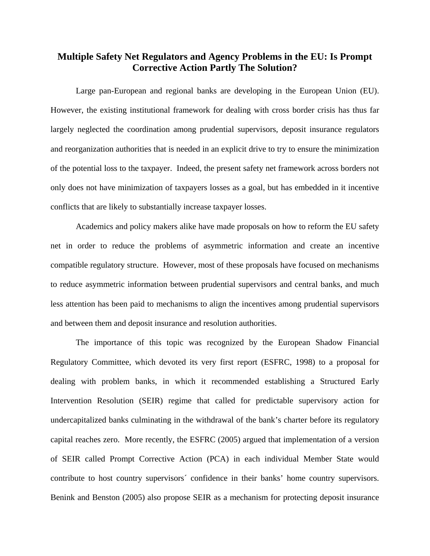# **Multiple Safety Net Regulators and Agency Problems in the EU: Is Prompt Corrective Action Partly The Solution?**

Large pan-European and regional banks are developing in the European Union (EU). However, the existing institutional framework for dealing with cross border crisis has thus far largely neglected the coordination among prudential supervisors, deposit insurance regulators and reorganization authorities that is needed in an explicit drive to try to ensure the minimization of the potential loss to the taxpayer. Indeed, the present safety net framework across borders not only does not have minimization of taxpayers losses as a goal, but has embedded in it incentive conflicts that are likely to substantially increase taxpayer losses.

Academics and policy makers alike have made proposals on how to reform the EU safety net in order to reduce the problems of asymmetric information and create an incentive compatible regulatory structure. However, most of these proposals have focused on mechanisms to reduce asymmetric information between prudential supervisors and central banks, and much less attention has been paid to mechanisms to align the incentives among prudential supervisors and between them and deposit insurance and resolution authorities.

The importance of this topic was recognized by the European Shadow Financial Regulatory Committee, which devoted its very first report (ESFRC, 1998) to a proposal for dealing with problem banks, in which it recommended establishing a Structured Early Intervention Resolution (SEIR) regime that called for predictable supervisory action for undercapitalized banks culminating in the withdrawal of the bank's charter before its regulatory capital reaches zero. More recently, the ESFRC (2005) argued that implementation of a version of SEIR called Prompt Corrective Action (PCA) in each individual Member State would contribute to host country supervisors´ confidence in their banks' home country supervisors. Benink and Benston (2005) also propose SEIR as a mechanism for protecting deposit insurance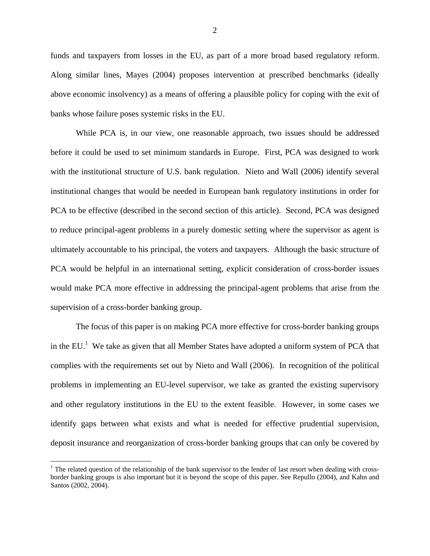funds and taxpayers from losses in the EU, as part of a more broad based regulatory reform. Along similar lines, Mayes (2004) proposes intervention at prescribed benchmarks (ideally above economic insolvency) as a means of offering a plausible policy for coping with the exit of banks whose failure poses systemic risks in the EU.

While PCA is, in our view, one reasonable approach, two issues should be addressed before it could be used to set minimum standards in Europe. First, PCA was designed to work with the institutional structure of U.S. bank regulation. Nieto and Wall (2006) identify several institutional changes that would be needed in European bank regulatory institutions in order for PCA to be effective (described in the second section of this article). Second, PCA was designed to reduce principal-agent problems in a purely domestic setting where the supervisor as agent is ultimately accountable to his principal, the voters and taxpayers. Although the basic structure of PCA would be helpful in an international setting, explicit consideration of cross-border issues would make PCA more effective in addressing the principal-agent problems that arise from the supervision of a cross-border banking group.

The focus of this paper is on making PCA more effective for cross-border banking groups in the EU.<sup>1</sup> We take as given that all Member States have adopted a uniform system of PCA that complies with the requirements set out by Nieto and Wall (2006). In recognition of the political problems in implementing an EU-level supervisor, we take as granted the existing supervisory and other regulatory institutions in the EU to the extent feasible. However, in some cases we identify gaps between what exists and what is needed for effective prudential supervision, deposit insurance and reorganization of cross-border banking groups that can only be covered by

1

 $1$  The related question of the relationship of the bank supervisor to the lender of last resort when dealing with crossborder banking groups is also important but it is beyond the scope of this paper. See Repullo (2004), and Kahn and Santos (2002, 2004).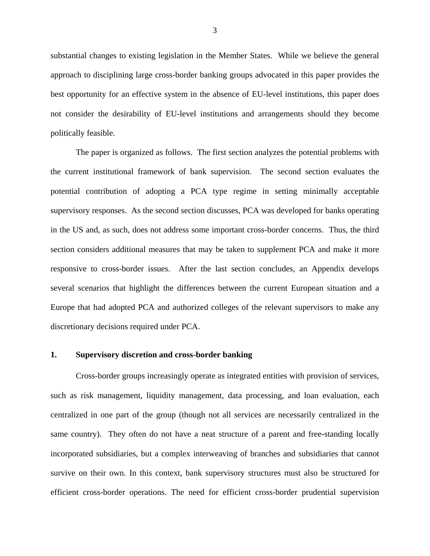substantial changes to existing legislation in the Member States. While we believe the general approach to disciplining large cross-border banking groups advocated in this paper provides the best opportunity for an effective system in the absence of EU-level institutions, this paper does not consider the desirability of EU-level institutions and arrangements should they become politically feasible.

The paper is organized as follows. The first section analyzes the potential problems with the current institutional framework of bank supervision. The second section evaluates the potential contribution of adopting a PCA type regime in setting minimally acceptable supervisory responses. As the second section discusses, PCA was developed for banks operating in the US and, as such, does not address some important cross-border concerns. Thus, the third section considers additional measures that may be taken to supplement PCA and make it more responsive to cross-border issues. After the last section concludes, an Appendix develops several scenarios that highlight the differences between the current European situation and a Europe that had adopted PCA and authorized colleges of the relevant supervisors to make any discretionary decisions required under PCA.

#### **1. Supervisory discretion and cross-border banking**

Cross-border groups increasingly operate as integrated entities with provision of services, such as risk management, liquidity management, data processing, and loan evaluation, each centralized in one part of the group (though not all services are necessarily centralized in the same country). They often do not have a neat structure of a parent and free-standing locally incorporated subsidiaries, but a complex interweaving of branches and subsidiaries that cannot survive on their own. In this context, bank supervisory structures must also be structured for efficient cross-border operations. The need for efficient cross-border prudential supervision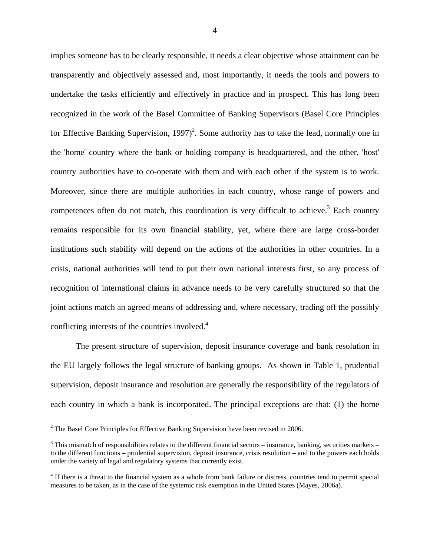implies someone has to be clearly responsible, it needs a clear objective whose attainment can be transparently and objectively assessed and, most importantly, it needs the tools and powers to undertake the tasks efficiently and effectively in practice and in prospect. This has long been recognized in the work of the Basel Committee of Banking Supervisors (Basel Core Principles for Effective Banking Supervision, 1997)<sup>2</sup>. Some authority has to take the lead, normally one in the 'home' country where the bank or holding company is headquartered, and the other, 'host' country authorities have to co-operate with them and with each other if the system is to work. Moreover, since there are multiple authorities in each country, whose range of powers and competences often do not match, this coordination is very difficult to achieve.<sup>3</sup> Each country remains responsible for its own financial stability, yet, where there are large cross-border institutions such stability will depend on the actions of the authorities in other countries. In a crisis, national authorities will tend to put their own national interests first, so any process of recognition of international claims in advance needs to be very carefully structured so that the joint actions match an agreed means of addressing and, where necessary, trading off the possibly conflicting interests of the countries involved.<sup>4</sup>

The present structure of supervision, deposit insurance coverage and bank resolution in the EU largely follows the legal structure of banking groups. As shown in Table 1, prudential supervision, deposit insurance and resolution are generally the responsibility of the regulators of each country in which a bank is incorporated. The principal exceptions are that: (1) the home

<sup>&</sup>lt;sup>2</sup> The Basel Core Principles for Effective Banking Supervision have been revised in 2006.

 $3$  This mismatch of responsibilities relates to the different financial sectors – insurance, banking, securities markets – to the different functions – prudential supervision, deposit insurance, crisis resolution – and to the powers each holds under the variety of legal and regulatory systems that currently exist.

<sup>&</sup>lt;sup>4</sup> If there is a threat to the financial system as a whole from bank failure or distress, countries tend to permit special measures to be taken, as in the case of the systemic risk exemption in the United States (Mayes, 2006a).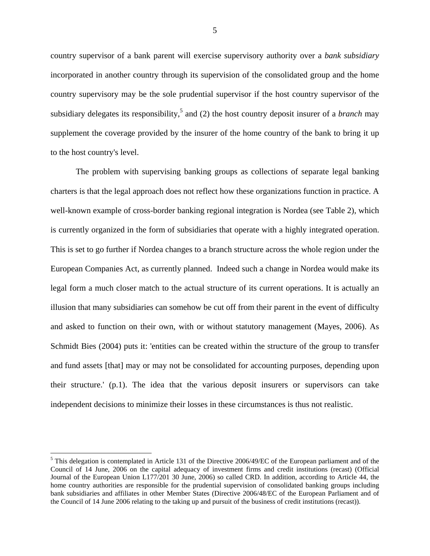country supervisor of a bank parent will exercise supervisory authority over a *bank subsidiary* incorporated in another country through its supervision of the consolidated group and the home country supervisory may be the sole prudential supervisor if the host country supervisor of the subsidiary delegates its responsibility,<sup>5</sup> and (2) the host country deposit insurer of a *branch* may supplement the coverage provided by the insurer of the home country of the bank to bring it up to the host country's level.

The problem with supervising banking groups as collections of separate legal banking charters is that the legal approach does not reflect how these organizations function in practice. A well-known example of cross-border banking regional integration is Nordea (see Table 2), which is currently organized in the form of subsidiaries that operate with a highly integrated operation. This is set to go further if Nordea changes to a branch structure across the whole region under the European Companies Act, as currently planned. Indeed such a change in Nordea would make its legal form a much closer match to the actual structure of its current operations. It is actually an illusion that many subsidiaries can somehow be cut off from their parent in the event of difficulty and asked to function on their own, with or without statutory management (Mayes, 2006). As Schmidt Bies (2004) puts it: 'entities can be created within the structure of the group to transfer and fund assets [that] may or may not be consolidated for accounting purposes, depending upon their structure.' (p.1). The idea that the various deposit insurers or supervisors can take independent decisions to minimize their losses in these circumstances is thus not realistic.

<sup>&</sup>lt;sup>5</sup> This delegation is contemplated in Article 131 of the Directive 2006/49/EC of the European parliament and of the Council of 14 June, 2006 on the capital adequacy of investment firms and credit institutions (recast) (Official Journal of the European Union L177/201 30 June, 2006) so called CRD. In addition, according to Article 44, the home country authorities are responsible for the prudential supervision of consolidated banking groups including bank subsidiaries and affiliates in other Member States (Directive 2006/48/EC of the European Parliament and of the Council of 14 June 2006 relating to the taking up and pursuit of the business of credit institutions (recast)).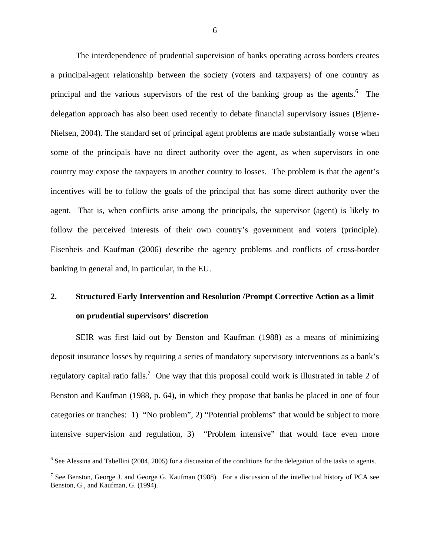The interdependence of prudential supervision of banks operating across borders creates a principal-agent relationship between the society (voters and taxpayers) of one country as principal and the various supervisors of the rest of the banking group as the agents. <sup>6</sup> The delegation approach has also been used recently to debate financial supervisory issues (Bjerre-Nielsen, 2004). The standard set of principal agent problems are made substantially worse when some of the principals have no direct authority over the agent, as when supervisors in one country may expose the taxpayers in another country to losses. The problem is that the agent's incentives will be to follow the goals of the principal that has some direct authority over the agent. That is, when conflicts arise among the principals, the supervisor (agent) is likely to follow the perceived interests of their own country's government and voters (principle). Eisenbeis and Kaufman (2006) describe the agency problems and conflicts of cross-border banking in general and, in particular, in the EU.

# **2. Structured Early Intervention and Resolution /Prompt Corrective Action as a limit on prudential supervisors' discretion**

SEIR was first laid out by Benston and Kaufman (1988) as a means of minimizing deposit insurance losses by requiring a series of mandatory supervisory interventions as a bank's regulatory capital ratio falls.<sup>7</sup> One way that this proposal could work is illustrated in table 2 of Benston and Kaufman (1988, p. 64), in which they propose that banks be placed in one of four categories or tranches: 1) "No problem", 2) "Potential problems" that would be subject to more intensive supervision and regulation, 3) "Problem intensive" that would face even more

<sup>&</sup>lt;sup>6</sup> See Alessina and Tabellini (2004, 2005) for a discussion of the conditions for the delegation of the tasks to agents.

<sup>&</sup>lt;sup>7</sup> See Benston, George J. and George G. Kaufman (1988). For a discussion of the intellectual history of PCA see Benston, G., and Kaufman, G. (1994).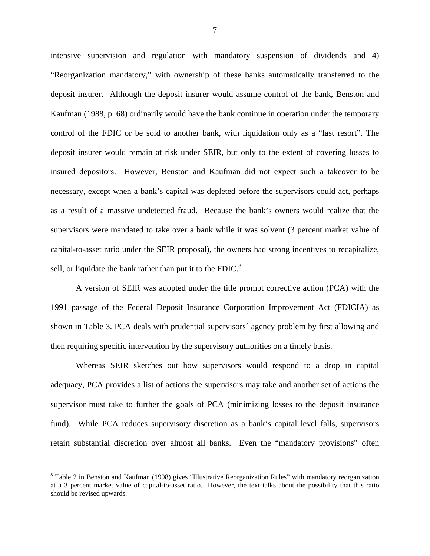intensive supervision and regulation with mandatory suspension of dividends and 4) "Reorganization mandatory," with ownership of these banks automatically transferred to the deposit insurer. Although the deposit insurer would assume control of the bank, Benston and Kaufman (1988, p. 68) ordinarily would have the bank continue in operation under the temporary control of the FDIC or be sold to another bank, with liquidation only as a "last resort". The deposit insurer would remain at risk under SEIR, but only to the extent of covering losses to insured depositors. However, Benston and Kaufman did not expect such a takeover to be necessary, except when a bank's capital was depleted before the supervisors could act, perhaps as a result of a massive undetected fraud. Because the bank's owners would realize that the supervisors were mandated to take over a bank while it was solvent (3 percent market value of capital-to-asset ratio under the SEIR proposal), the owners had strong incentives to recapitalize, sell, or liquidate the bank rather than put it to the FDIC.<sup>8</sup>

A version of SEIR was adopted under the title prompt corrective action (PCA) with the 1991 passage of the Federal Deposit Insurance Corporation Improvement Act (FDICIA) as shown in Table 3. PCA deals with prudential supervisors´ agency problem by first allowing and then requiring specific intervention by the supervisory authorities on a timely basis.

Whereas SEIR sketches out how supervisors would respond to a drop in capital adequacy, PCA provides a list of actions the supervisors may take and another set of actions the supervisor must take to further the goals of PCA (minimizing losses to the deposit insurance fund). While PCA reduces supervisory discretion as a bank's capital level falls, supervisors retain substantial discretion over almost all banks. Even the "mandatory provisions" often

<sup>&</sup>lt;sup>8</sup> Table 2 in Benston and Kaufman (1998) gives "Illustrative Reorganization Rules" with mandatory reorganization at a 3 percent market value of capital-to-asset ratio. However, the text talks about the possibility that this ratio should be revised upwards.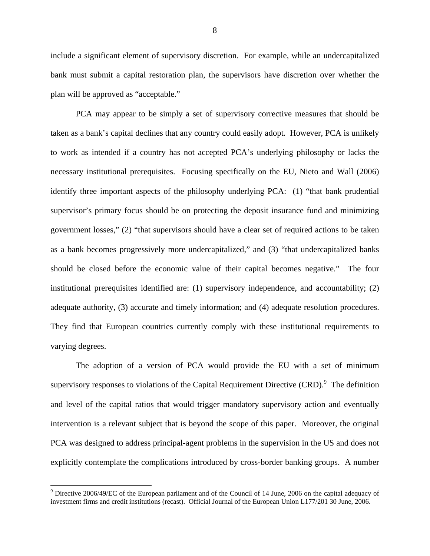include a significant element of supervisory discretion. For example, while an undercapitalized bank must submit a capital restoration plan, the supervisors have discretion over whether the plan will be approved as "acceptable."

PCA may appear to be simply a set of supervisory corrective measures that should be taken as a bank's capital declines that any country could easily adopt. However, PCA is unlikely to work as intended if a country has not accepted PCA's underlying philosophy or lacks the necessary institutional prerequisites. Focusing specifically on the EU, Nieto and Wall (2006) identify three important aspects of the philosophy underlying PCA: (1) "that bank prudential supervisor's primary focus should be on protecting the deposit insurance fund and minimizing government losses," (2) "that supervisors should have a clear set of required actions to be taken as a bank becomes progressively more undercapitalized," and (3) "that undercapitalized banks should be closed before the economic value of their capital becomes negative." The four institutional prerequisites identified are: (1) supervisory independence, and accountability; (2) adequate authority, (3) accurate and timely information; and (4) adequate resolution procedures. They find that European countries currently comply with these institutional requirements to varying degrees.

The adoption of a version of PCA would provide the EU with a set of minimum supervisory responses to violations of the Capital Requirement Directive  $(CRD)$ . The definition and level of the capital ratios that would trigger mandatory supervisory action and eventually intervention is a relevant subject that is beyond the scope of this paper. Moreover, the original PCA was designed to address principal-agent problems in the supervision in the US and does not explicitly contemplate the complications introduced by cross-border banking groups. A number

<sup>&</sup>lt;sup>9</sup> Directive 2006/49/EC of the European parliament and of the Council of 14 June, 2006 on the capital adequacy of investment firms and credit institutions (recast). Official Journal of the European Union L177/201 30 June, 2006.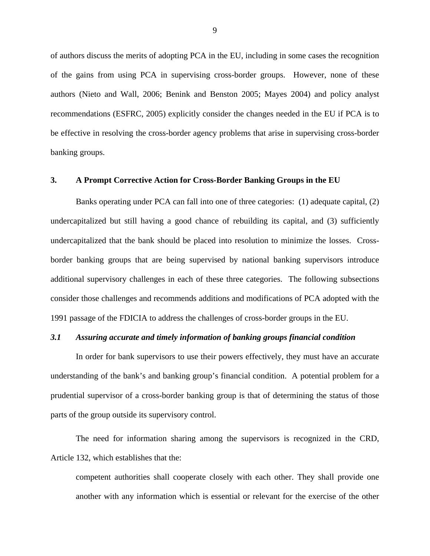of authors discuss the merits of adopting PCA in the EU, including in some cases the recognition of the gains from using PCA in supervising cross-border groups. However, none of these authors (Nieto and Wall, 2006; Benink and Benston 2005; Mayes 2004) and policy analyst recommendations (ESFRC, 2005) explicitly consider the changes needed in the EU if PCA is to be effective in resolving the cross-border agency problems that arise in supervising cross-border banking groups.

#### **3. A Prompt Corrective Action for Cross-Border Banking Groups in the EU**

Banks operating under PCA can fall into one of three categories: (1) adequate capital, (2) undercapitalized but still having a good chance of rebuilding its capital, and (3) sufficiently undercapitalized that the bank should be placed into resolution to minimize the losses. Crossborder banking groups that are being supervised by national banking supervisors introduce additional supervisory challenges in each of these three categories. The following subsections consider those challenges and recommends additions and modifications of PCA adopted with the 1991 passage of the FDICIA to address the challenges of cross-border groups in the EU.

#### *3.1 Assuring accurate and timely information of banking groups financial condition*

In order for bank supervisors to use their powers effectively, they must have an accurate understanding of the bank's and banking group's financial condition. A potential problem for a prudential supervisor of a cross-border banking group is that of determining the status of those parts of the group outside its supervisory control.

The need for information sharing among the supervisors is recognized in the CRD, Article 132, which establishes that the:

competent authorities shall cooperate closely with each other. They shall provide one another with any information which is essential or relevant for the exercise of the other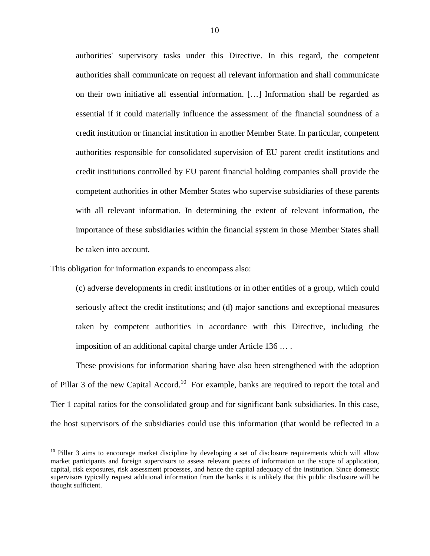authorities' supervisory tasks under this Directive. In this regard, the competent authorities shall communicate on request all relevant information and shall communicate on their own initiative all essential information. […] Information shall be regarded as essential if it could materially influence the assessment of the financial soundness of a credit institution or financial institution in another Member State. In particular, competent authorities responsible for consolidated supervision of EU parent credit institutions and credit institutions controlled by EU parent financial holding companies shall provide the competent authorities in other Member States who supervise subsidiaries of these parents with all relevant information. In determining the extent of relevant information, the importance of these subsidiaries within the financial system in those Member States shall be taken into account.

This obligation for information expands to encompass also:

 $\overline{a}$ 

(c) adverse developments in credit institutions or in other entities of a group, which could seriously affect the credit institutions; and (d) major sanctions and exceptional measures taken by competent authorities in accordance with this Directive, including the imposition of an additional capital charge under Article 136 … .

These provisions for information sharing have also been strengthened with the adoption of Pillar 3 of the new Capital Accord.<sup>10</sup> For example, banks are required to report the total and Tier 1 capital ratios for the consolidated group and for significant bank subsidiaries. In this case, the host supervisors of the subsidiaries could use this information (that would be reflected in a

<sup>&</sup>lt;sup>10</sup> Pillar 3 aims to encourage market discipline by developing a set of disclosure requirements which will allow market participants and foreign supervisors to assess relevant pieces of information on the scope of application, capital, risk exposures, risk assessment processes, and hence the capital adequacy of the institution. Since domestic supervisors typically request additional information from the banks it is unlikely that this public disclosure will be thought sufficient.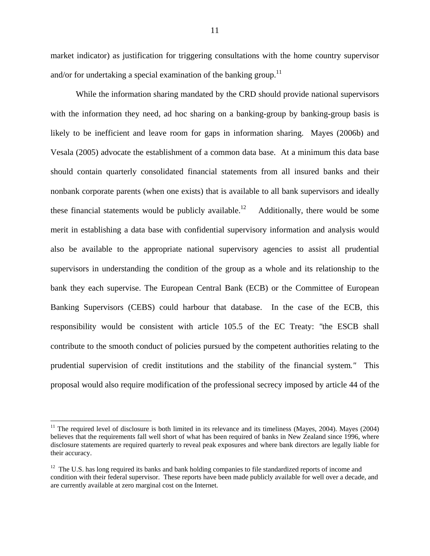market indicator) as justification for triggering consultations with the home country supervisor and/or for undertaking a special examination of the banking group.<sup>11</sup>

While the information sharing mandated by the CRD should provide national supervisors with the information they need, ad hoc sharing on a banking-group by banking-group basis is likely to be inefficient and leave room for gaps in information sharing. Mayes (2006b) and Vesala (2005) advocate the establishment of a common data base. At a minimum this data base should contain quarterly consolidated financial statements from all insured banks and their nonbank corporate parents (when one exists) that is available to all bank supervisors and ideally these financial statements would be publicly available.<sup>12</sup> Additionally, there would be some merit in establishing a data base with confidential supervisory information and analysis would also be available to the appropriate national supervisory agencies to assist all prudential supervisors in understanding the condition of the group as a whole and its relationship to the bank they each supervise. The European Central Bank (ECB) or the Committee of European Banking Supervisors (CEBS) could harbour that database. In the case of the ECB, this responsibility would be consistent with article 105.5 of the EC Treaty: *"*the ESCB shall contribute to the smooth conduct of policies pursued by the competent authorities relating to the prudential supervision of credit institutions and the stability of the financial system*."* This proposal would also require modification of the professional secrecy imposed by article 44 of the

1

 $11$  The required level of disclosure is both limited in its relevance and its timeliness (Mayes, 2004). Mayes (2004) believes that the requirements fall well short of what has been required of banks in New Zealand since 1996, where disclosure statements are required quarterly to reveal peak exposures and where bank directors are legally liable for their accuracy.

<sup>&</sup>lt;sup>12</sup> The U.S. has long required its banks and bank holding companies to file standardized reports of income and condition with their federal supervisor. These reports have been made publicly available for well over a decade, and are currently available at zero marginal cost on the Internet.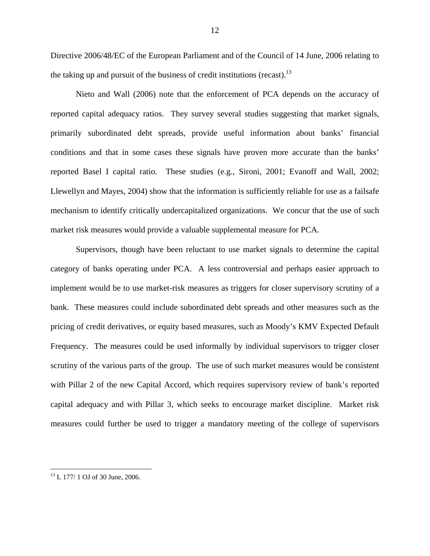Directive 2006/48/EC of the European Parliament and of the Council of 14 June, 2006 relating to the taking up and pursuit of the business of credit institutions (recast).<sup>13</sup>

Nieto and Wall (2006) note that the enforcement of PCA depends on the accuracy of reported capital adequacy ratios. They survey several studies suggesting that market signals, primarily subordinated debt spreads, provide useful information about banks' financial conditions and that in some cases these signals have proven more accurate than the banks' reported Basel I capital ratio. These studies (e.g., Sironi, 2001; Evanoff and Wall, 2002; Llewellyn and Mayes, 2004) show that the information is sufficiently reliable for use as a failsafe mechanism to identify critically undercapitalized organizations. We concur that the use of such market risk measures would provide a valuable supplemental measure for PCA.

Supervisors, though have been reluctant to use market signals to determine the capital category of banks operating under PCA. A less controversial and perhaps easier approach to implement would be to use market-risk measures as triggers for closer supervisory scrutiny of a bank. These measures could include subordinated debt spreads and other measures such as the pricing of credit derivatives, or equity based measures, such as Moody's KMV Expected Default Frequency. The measures could be used informally by individual supervisors to trigger closer scrutiny of the various parts of the group. The use of such market measures would be consistent with Pillar 2 of the new Capital Accord, which requires supervisory review of bank's reported capital adequacy and with Pillar 3, which seeks to encourage market discipline. Market risk measures could further be used to trigger a mandatory meeting of the college of supervisors

<sup>&</sup>lt;sup>13</sup> L 177/ 1 OJ of 30 June, 2006.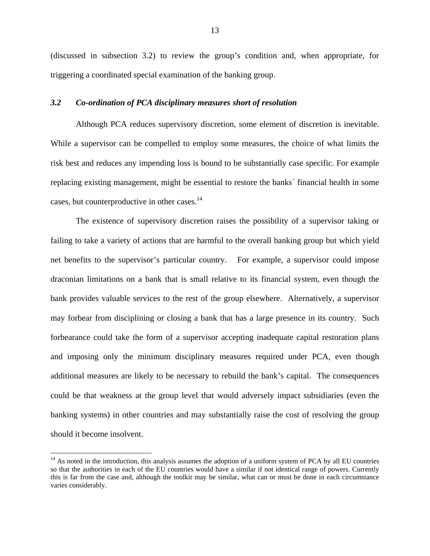(discussed in subsection 3.2) to review the group's condition and, when appropriate, for triggering a coordinated special examination of the banking group.

#### *3.2 Co-ordination of PCA disciplinary measures short of resolution*

Although PCA reduces supervisory discretion, some element of discretion is inevitable. While a supervisor can be compelled to employ some measures, the choice of what limits the risk best and reduces any impending loss is bound to be substantially case specific. For example replacing existing management, might be essential to restore the banks´ financial health in some cases, but counterproductive in other cases.<sup>14</sup>

The existence of supervisory discretion raises the possibility of a supervisor taking or failing to take a variety of actions that are harmful to the overall banking group but which yield net benefits to the supervisor's particular country. For example, a supervisor could impose draconian limitations on a bank that is small relative to its financial system, even though the bank provides valuable services to the rest of the group elsewhere. Alternatively, a supervisor may forbear from disciplining or closing a bank that has a large presence in its country. Such forbearance could take the form of a supervisor accepting inadequate capital restoration plans and imposing only the minimum disciplinary measures required under PCA, even though additional measures are likely to be necessary to rebuild the bank's capital. The consequences could be that weakness at the group level that would adversely impact subsidiaries (even the banking systems) in other countries and may substantially raise the cost of resolving the group should it become insolvent.

1

 $14$  As noted in the introduction, this analysis assumes the adoption of a uniform system of PCA by all EU countries so that the authorities in each of the EU countries would have a similar if not identical range of powers. Currently this is far from the case and, although the toolkit may be similar, what can or must be done in each circumstance varies considerably.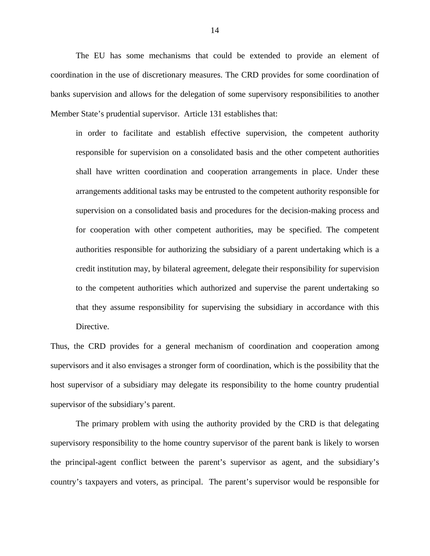The EU has some mechanisms that could be extended to provide an element of coordination in the use of discretionary measures. The CRD provides for some coordination of banks supervision and allows for the delegation of some supervisory responsibilities to another Member State's prudential supervisor. Article 131 establishes that:

in order to facilitate and establish effective supervision, the competent authority responsible for supervision on a consolidated basis and the other competent authorities shall have written coordination and cooperation arrangements in place. Under these arrangements additional tasks may be entrusted to the competent authority responsible for supervision on a consolidated basis and procedures for the decision-making process and for cooperation with other competent authorities, may be specified. The competent authorities responsible for authorizing the subsidiary of a parent undertaking which is a credit institution may, by bilateral agreement, delegate their responsibility for supervision to the competent authorities which authorized and supervise the parent undertaking so that they assume responsibility for supervising the subsidiary in accordance with this Directive.

Thus, the CRD provides for a general mechanism of coordination and cooperation among supervisors and it also envisages a stronger form of coordination, which is the possibility that the host supervisor of a subsidiary may delegate its responsibility to the home country prudential supervisor of the subsidiary's parent.

The primary problem with using the authority provided by the CRD is that delegating supervisory responsibility to the home country supervisor of the parent bank is likely to worsen the principal-agent conflict between the parent's supervisor as agent, and the subsidiary's country's taxpayers and voters, as principal. The parent's supervisor would be responsible for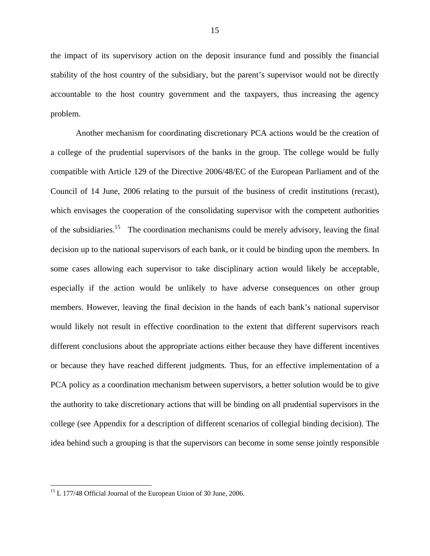the impact of its supervisory action on the deposit insurance fund and possibly the financial stability of the host country of the subsidiary, but the parent's supervisor would not be directly accountable to the host country government and the taxpayers, thus increasing the agency problem.

Another mechanism for coordinating discretionary PCA actions would be the creation of a college of the prudential supervisors of the banks in the group. The college would be fully compatible with Article 129 of the Directive 2006/48/EC of the European Parliament and of the Council of 14 June, 2006 relating to the pursuit of the business of credit institutions (recast), which envisages the cooperation of the consolidating supervisor with the competent authorities of the subsidiaries.<sup>15</sup> The coordination mechanisms could be merely advisory, leaving the final decision up to the national supervisors of each bank, or it could be binding upon the members. In some cases allowing each supervisor to take disciplinary action would likely be acceptable, especially if the action would be unlikely to have adverse consequences on other group members. However, leaving the final decision in the hands of each bank's national supervisor would likely not result in effective coordination to the extent that different supervisors reach different conclusions about the appropriate actions either because they have different incentives or because they have reached different judgments. Thus, for an effective implementation of a PCA policy as a coordination mechanism between supervisors, a better solution would be to give the authority to take discretionary actions that will be binding on all prudential supervisors in the college (see Appendix for a description of different scenarios of collegial binding decision). The idea behind such a grouping is that the supervisors can become in some sense jointly responsible

 $15$  L 177/48 Official Journal of the European Union of 30 June, 2006.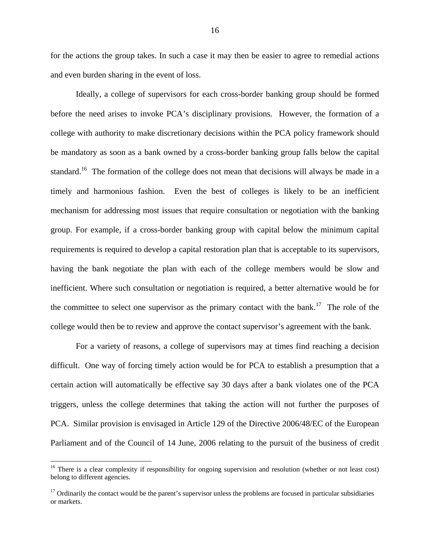for the actions the group takes. In such a case it may then be easier to agree to remedial actions and even burden sharing in the event of loss.

Ideally, a college of supervisors for each cross-border banking group should be formed before the need arises to invoke PCA's disciplinary provisions. However, the formation of a college with authority to make discretionary decisions within the PCA policy framework should be mandatory as soon as a bank owned by a cross-border banking group falls below the capital standard.<sup>16</sup> The formation of the college does not mean that decisions will always be made in a timely and harmonious fashion. Even the best of colleges is likely to be an inefficient mechanism for addressing most issues that require consultation or negotiation with the banking group. For example, if a cross-border banking group with capital below the minimum capital requirements is required to develop a capital restoration plan that is acceptable to its supervisors, having the bank negotiate the plan with each of the college members would be slow and inefficient. Where such consultation or negotiation is required, a better alternative would be for the committee to select one supervisor as the primary contact with the bank.<sup>17</sup> The role of the college would then be to review and approve the contact supervisor's agreement with the bank.

For a variety of reasons, a college of supervisors may at times find reaching a decision difficult. One way of forcing timely action would be for PCA to establish a presumption that a certain action will automatically be effective say 30 days after a bank violates one of the PCA triggers, unless the college determines that taking the action will not further the purposes of PCA. Similar provision is envisaged in Article 129 of the Directive 2006/48/EC of the European Parliament and of the Council of 14 June, 2006 relating to the pursuit of the business of credit

<sup>&</sup>lt;sup>16</sup> There is a clear complexity if responsibility for ongoing supervision and resolution (whether or not least cost) belong to different agencies.

 $17$  Ordinarily the contact would be the parent's supervisor unless the problems are focused in particular subsidiaries or markets.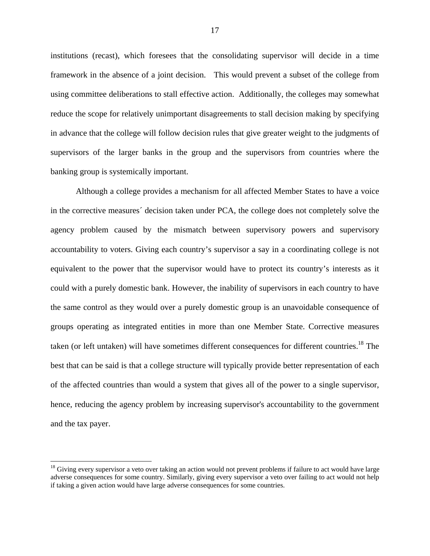institutions (recast), which foresees that the consolidating supervisor will decide in a time framework in the absence of a joint decision. This would prevent a subset of the college from using committee deliberations to stall effective action. Additionally, the colleges may somewhat reduce the scope for relatively unimportant disagreements to stall decision making by specifying in advance that the college will follow decision rules that give greater weight to the judgments of supervisors of the larger banks in the group and the supervisors from countries where the banking group is systemically important.

Although a college provides a mechanism for all affected Member States to have a voice in the corrective measures´ decision taken under PCA, the college does not completely solve the agency problem caused by the mismatch between supervisory powers and supervisory accountability to voters. Giving each country's supervisor a say in a coordinating college is not equivalent to the power that the supervisor would have to protect its country's interests as it could with a purely domestic bank. However, the inability of supervisors in each country to have the same control as they would over a purely domestic group is an unavoidable consequence of groups operating as integrated entities in more than one Member State. Corrective measures taken (or left untaken) will have sometimes different consequences for different countries.18 The best that can be said is that a college structure will typically provide better representation of each of the affected countries than would a system that gives all of the power to a single supervisor, hence, reducing the agency problem by increasing supervisor's accountability to the government and the tax payer.

<sup>&</sup>lt;sup>18</sup> Giving every supervisor a veto over taking an action would not prevent problems if failure to act would have large adverse consequences for some country. Similarly, giving every supervisor a veto over failing to act would not help if taking a given action would have large adverse consequences for some countries.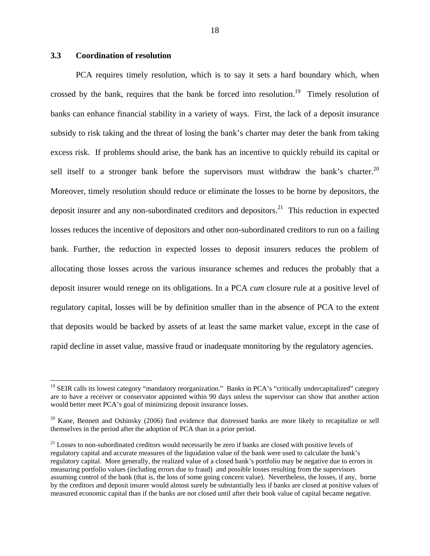## **3.3 Coordination of resolution**

 $\overline{a}$ 

PCA requires timely resolution, which is to say it sets a hard boundary which, when crossed by the bank, requires that the bank be forced into resolution.<sup>19</sup> Timely resolution of banks can enhance financial stability in a variety of ways. First, the lack of a deposit insurance subsidy to risk taking and the threat of losing the bank's charter may deter the bank from taking excess risk. If problems should arise, the bank has an incentive to quickly rebuild its capital or sell itself to a stronger bank before the supervisors must withdraw the bank's charter.<sup>20</sup> Moreover, timely resolution should reduce or eliminate the losses to be borne by depositors, the deposit insurer and any non-subordinated creditors and depositors.<sup>21</sup> This reduction in expected losses reduces the incentive of depositors and other non-subordinated creditors to run on a failing bank. Further, the reduction in expected losses to deposit insurers reduces the problem of allocating those losses across the various insurance schemes and reduces the probably that a deposit insurer would renege on its obligations. In a PCA *cum* closure rule at a positive level of regulatory capital, losses will be by definition smaller than in the absence of PCA to the extent that deposits would be backed by assets of at least the same market value, except in the case of rapid decline in asset value, massive fraud or inadequate monitoring by the regulatory agencies.

<sup>&</sup>lt;sup>19</sup> SEIR calls its lowest category "mandatory reorganization." Banks in PCA's "critically undercapitalized" category are to have a receiver or conservator appointed within 90 days unless the supervisor can show that another action would better meet PCA's goal of minimizing deposit insurance losses.

 $20$  Kane, Bennett and Oshinsky (2006) find evidence that distressed banks are more likely to recapitalize or sell themselves in the period after the adoption of PCA than in a prior period.

<sup>&</sup>lt;sup>21</sup> Losses to non-subordinated creditors would necessarily be zero if banks are closed with positive levels of regulatory capital and accurate measures of the liquidation value of the bank were used to calculate the bank's regulatory capital. More generally, the realized value of a closed bank's portfolio may be negative due to errors in measuring portfolio values (including errors due to fraud) and possible losses resulting from the supervisors assuming control of the bank (that is, the loss of some going concern value). Nevertheless, the losses, if any, borne by the creditors and deposit insurer would almost surely be substantially less if banks are closed at positive values of measured economic capital than if the banks are not closed until after their book value of capital became negative.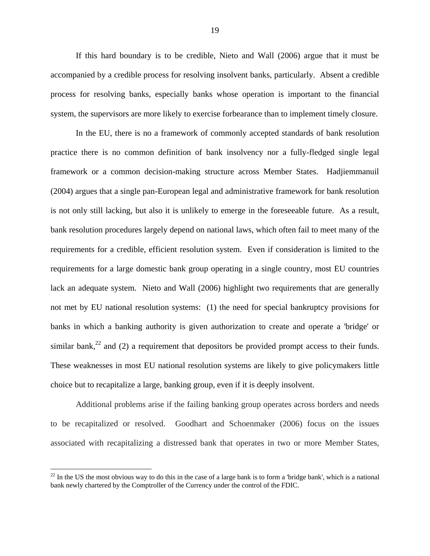If this hard boundary is to be credible, Nieto and Wall (2006) argue that it must be accompanied by a credible process for resolving insolvent banks, particularly. Absent a credible process for resolving banks, especially banks whose operation is important to the financial system, the supervisors are more likely to exercise forbearance than to implement timely closure.

In the EU, there is no a framework of commonly accepted standards of bank resolution practice there is no common definition of bank insolvency nor a fully-fledged single legal framework or a common decision-making structure across Member States. Hadjiemmanuil (2004) argues that a single pan-European legal and administrative framework for bank resolution is not only still lacking, but also it is unlikely to emerge in the foreseeable future. As a result, bank resolution procedures largely depend on national laws, which often fail to meet many of the requirements for a credible, efficient resolution system. Even if consideration is limited to the requirements for a large domestic bank group operating in a single country, most EU countries lack an adequate system. Nieto and Wall (2006) highlight two requirements that are generally not met by EU national resolution systems: (1) the need for special bankruptcy provisions for banks in which a banking authority is given authorization to create and operate a 'bridge' or similar bank,<sup>22</sup> and (2) a requirement that depositors be provided prompt access to their funds. These weaknesses in most EU national resolution systems are likely to give policymakers little choice but to recapitalize a large, banking group, even if it is deeply insolvent.

Additional problems arise if the failing banking group operates across borders and needs to be recapitalized or resolved. Goodhart and Schoenmaker (2006) focus on the issues associated with recapitalizing a distressed bank that operates in two or more Member States,

 $22$  In the US the most obvious way to do this in the case of a large bank is to form a 'bridge bank', which is a national bank newly chartered by the Comptroller of the Currency under the control of the FDIC.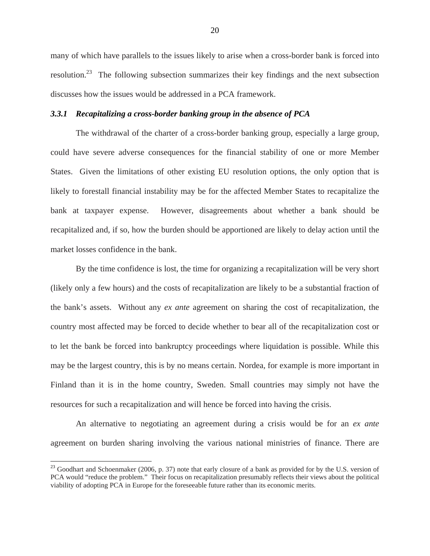many of which have parallels to the issues likely to arise when a cross-border bank is forced into resolution.<sup>23</sup> The following subsection summarizes their key findings and the next subsection discusses how the issues would be addressed in a PCA framework.

#### *3.3.1 Recapitalizing a cross-border banking group in the absence of PCA*

The withdrawal of the charter of a cross-border banking group, especially a large group, could have severe adverse consequences for the financial stability of one or more Member States. Given the limitations of other existing EU resolution options, the only option that is likely to forestall financial instability may be for the affected Member States to recapitalize the bank at taxpayer expense. However, disagreements about whether a bank should be recapitalized and, if so, how the burden should be apportioned are likely to delay action until the market losses confidence in the bank.

By the time confidence is lost, the time for organizing a recapitalization will be very short (likely only a few hours) and the costs of recapitalization are likely to be a substantial fraction of the bank's assets. Without any *ex ante* agreement on sharing the cost of recapitalization, the country most affected may be forced to decide whether to bear all of the recapitalization cost or to let the bank be forced into bankruptcy proceedings where liquidation is possible. While this may be the largest country, this is by no means certain. Nordea, for example is more important in Finland than it is in the home country, Sweden. Small countries may simply not have the resources for such a recapitalization and will hence be forced into having the crisis.

An alternative to negotiating an agreement during a crisis would be for an *ex ante* agreement on burden sharing involving the various national ministries of finance. There are

1

<sup>&</sup>lt;sup>23</sup> Goodhart and Schoenmaker (2006, p. 37) note that early closure of a bank as provided for by the U.S. version of PCA would "reduce the problem." Their focus on recapitalization presumably reflects their views about the political viability of adopting PCA in Europe for the foreseeable future rather than its economic merits.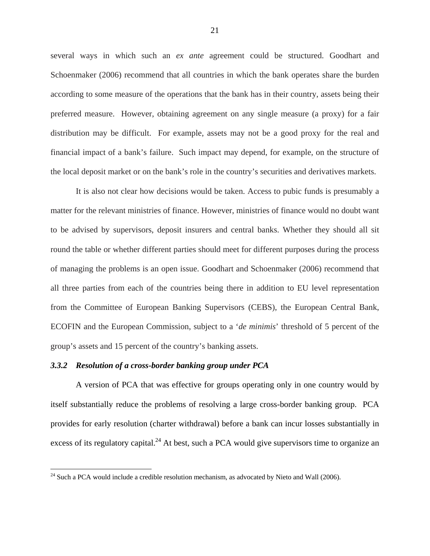several ways in which such an *ex ante* agreement could be structured. Goodhart and Schoenmaker (2006) recommend that all countries in which the bank operates share the burden according to some measure of the operations that the bank has in their country, assets being their preferred measure. However, obtaining agreement on any single measure (a proxy) for a fair distribution may be difficult. For example, assets may not be a good proxy for the real and financial impact of a bank's failure. Such impact may depend, for example, on the structure of the local deposit market or on the bank's role in the country's securities and derivatives markets.

It is also not clear how decisions would be taken. Access to pubic funds is presumably a matter for the relevant ministries of finance. However, ministries of finance would no doubt want to be advised by supervisors, deposit insurers and central banks. Whether they should all sit round the table or whether different parties should meet for different purposes during the process of managing the problems is an open issue. Goodhart and Schoenmaker (2006) recommend that all three parties from each of the countries being there in addition to EU level representation from the Committee of European Banking Supervisors (CEBS), the European Central Bank, ECOFIN and the European Commission, subject to a '*de minimis*' threshold of 5 percent of the group's assets and 15 percent of the country's banking assets.

#### *3.3.2 Resolution of a cross-border banking group under PCA*

 $\overline{a}$ 

A version of PCA that was effective for groups operating only in one country would by itself substantially reduce the problems of resolving a large cross-border banking group. PCA provides for early resolution (charter withdrawal) before a bank can incur losses substantially in excess of its regulatory capital.<sup>24</sup> At best, such a PCA would give supervisors time to organize an

 $^{24}$  Such a PCA would include a credible resolution mechanism, as advocated by Nieto and Wall (2006).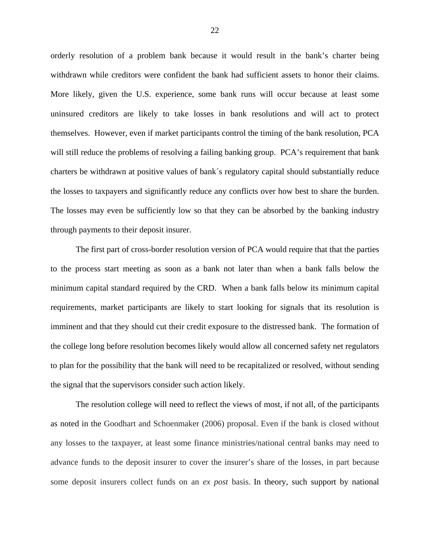orderly resolution of a problem bank because it would result in the bank's charter being withdrawn while creditors were confident the bank had sufficient assets to honor their claims. More likely, given the U.S. experience, some bank runs will occur because at least some uninsured creditors are likely to take losses in bank resolutions and will act to protect themselves. However, even if market participants control the timing of the bank resolution, PCA will still reduce the problems of resolving a failing banking group. PCA's requirement that bank charters be withdrawn at positive values of bank´s regulatory capital should substantially reduce the losses to taxpayers and significantly reduce any conflicts over how best to share the burden. The losses may even be sufficiently low so that they can be absorbed by the banking industry through payments to their deposit insurer.

The first part of cross-border resolution version of PCA would require that that the parties to the process start meeting as soon as a bank not later than when a bank falls below the minimum capital standard required by the CRD. When a bank falls below its minimum capital requirements, market participants are likely to start looking for signals that its resolution is imminent and that they should cut their credit exposure to the distressed bank. The formation of the college long before resolution becomes likely would allow all concerned safety net regulators to plan for the possibility that the bank will need to be recapitalized or resolved, without sending the signal that the supervisors consider such action likely.

The resolution college will need to reflect the views of most, if not all, of the participants as noted in the Goodhart and Schoenmaker (2006) proposal. Even if the bank is closed without any losses to the taxpayer, at least some finance ministries/national central banks may need to advance funds to the deposit insurer to cover the insurer's share of the losses, in part because some deposit insurers collect funds on an *ex post* basis. In theory, such support by national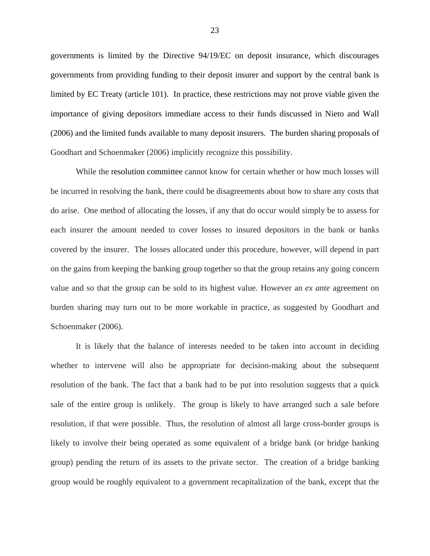governments is limited by the Directive 94/19/EC on deposit insurance, which discourages governments from providing funding to their deposit insurer and support by the central bank is limited by EC Treaty (article 101). In practice, these restrictions may not prove viable given the importance of giving depositors immediate access to their funds discussed in Nieto and Wall (2006) and the limited funds available to many deposit insurers. The burden sharing proposals of Goodhart and Schoenmaker (2006) implicitly recognize this possibility.

While the resolution committee cannot know for certain whether or how much losses will be incurred in resolving the bank, there could be disagreements about how to share any costs that do arise. One method of allocating the losses, if any that do occur would simply be to assess for each insurer the amount needed to cover losses to insured depositors in the bank or banks covered by the insurer. The losses allocated under this procedure, however, will depend in part on the gains from keeping the banking group together so that the group retains any going concern value and so that the group can be sold to its highest value. However an *ex ante* agreement on burden sharing may turn out to be more workable in practice, as suggested by Goodhart and Schoenmaker (2006).

It is likely that the balance of interests needed to be taken into account in deciding whether to intervene will also be appropriate for decision-making about the subsequent resolution of the bank. The fact that a bank had to be put into resolution suggests that a quick sale of the entire group is unlikely. The group is likely to have arranged such a sale before resolution, if that were possible. Thus, the resolution of almost all large cross-border groups is likely to involve their being operated as some equivalent of a bridge bank (or bridge banking group) pending the return of its assets to the private sector. The creation of a bridge banking group would be roughly equivalent to a government recapitalization of the bank, except that the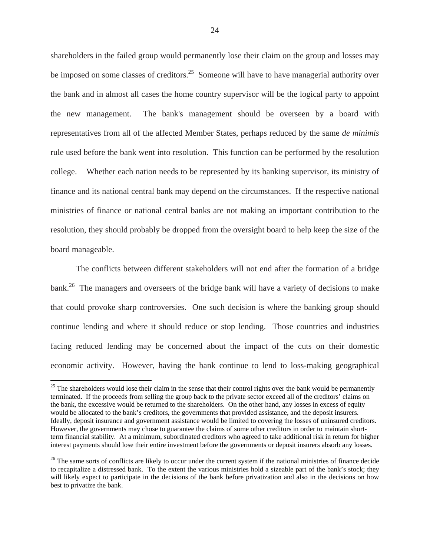shareholders in the failed group would permanently lose their claim on the group and losses may be imposed on some classes of creditors.<sup>25</sup> Someone will have to have managerial authority over the bank and in almost all cases the home country supervisor will be the logical party to appoint the new management. The bank's management should be overseen by a board with representatives from all of the affected Member States, perhaps reduced by the same *de minimis* rule used before the bank went into resolution. This function can be performed by the resolution college. Whether each nation needs to be represented by its banking supervisor, its ministry of finance and its national central bank may depend on the circumstances. If the respective national ministries of finance or national central banks are not making an important contribution to the resolution, they should probably be dropped from the oversight board to help keep the size of the board manageable.

The conflicts between different stakeholders will not end after the formation of a bridge bank.<sup>26</sup> The managers and overseers of the bridge bank will have a variety of decisions to make that could provoke sharp controversies. One such decision is where the banking group should continue lending and where it should reduce or stop lending. Those countries and industries facing reduced lending may be concerned about the impact of the cuts on their domestic economic activity. However, having the bank continue to lend to loss-making geographical

 $25$  The shareholders would lose their claim in the sense that their control rights over the bank would be permanently terminated. If the proceeds from selling the group back to the private sector exceed all of the creditors' claims on the bank, the excessive would be returned to the shareholders. On the other hand, any losses in excess of equity would be allocated to the bank's creditors, the governments that provided assistance, and the deposit insurers. Ideally, deposit insurance and government assistance would be limited to covering the losses of uninsured creditors. However, the governments may chose to guarantee the claims of some other creditors in order to maintain shortterm financial stability. At a minimum, subordinated creditors who agreed to take additional risk in return for higher interest payments should lose their entire investment before the governments or deposit insurers absorb any losses.

 $26$  The same sorts of conflicts are likely to occur under the current system if the national ministries of finance decide to recapitalize a distressed bank. To the extent the various ministries hold a sizeable part of the bank's stock; they will likely expect to participate in the decisions of the bank before privatization and also in the decisions on how best to privatize the bank.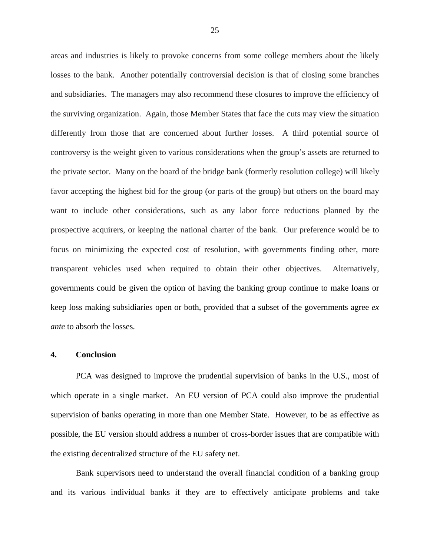areas and industries is likely to provoke concerns from some college members about the likely losses to the bank. Another potentially controversial decision is that of closing some branches and subsidiaries. The managers may also recommend these closures to improve the efficiency of the surviving organization. Again, those Member States that face the cuts may view the situation differently from those that are concerned about further losses. A third potential source of controversy is the weight given to various considerations when the group's assets are returned to the private sector. Many on the board of the bridge bank (formerly resolution college) will likely favor accepting the highest bid for the group (or parts of the group) but others on the board may want to include other considerations, such as any labor force reductions planned by the prospective acquirers, or keeping the national charter of the bank. Our preference would be to focus on minimizing the expected cost of resolution, with governments finding other, more transparent vehicles used when required to obtain their other objectives. Alternatively, governments could be given the option of having the banking group continue to make loans or keep loss making subsidiaries open or both, provided that a subset of the governments agree *ex ante* to absorb the losses.

#### **4. Conclusion**

PCA was designed to improve the prudential supervision of banks in the U.S., most of which operate in a single market. An EU version of PCA could also improve the prudential supervision of banks operating in more than one Member State. However, to be as effective as possible, the EU version should address a number of cross-border issues that are compatible with the existing decentralized structure of the EU safety net.

Bank supervisors need to understand the overall financial condition of a banking group and its various individual banks if they are to effectively anticipate problems and take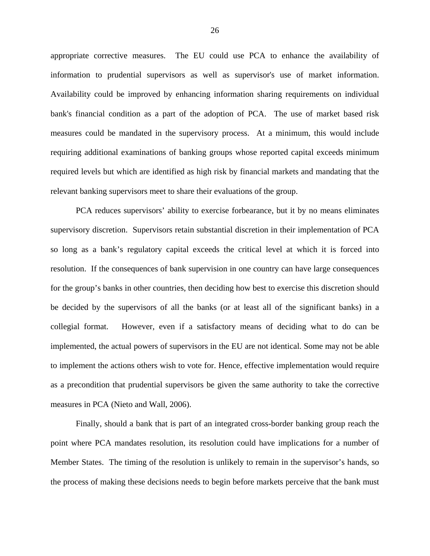appropriate corrective measures. The EU could use PCA to enhance the availability of information to prudential supervisors as well as supervisor's use of market information. Availability could be improved by enhancing information sharing requirements on individual bank's financial condition as a part of the adoption of PCA. The use of market based risk measures could be mandated in the supervisory process. At a minimum, this would include requiring additional examinations of banking groups whose reported capital exceeds minimum required levels but which are identified as high risk by financial markets and mandating that the relevant banking supervisors meet to share their evaluations of the group.

PCA reduces supervisors' ability to exercise forbearance, but it by no means eliminates supervisory discretion. Supervisors retain substantial discretion in their implementation of PCA so long as a bank's regulatory capital exceeds the critical level at which it is forced into resolution. If the consequences of bank supervision in one country can have large consequences for the group's banks in other countries, then deciding how best to exercise this discretion should be decided by the supervisors of all the banks (or at least all of the significant banks) in a collegial format. However, even if a satisfactory means of deciding what to do can be implemented, the actual powers of supervisors in the EU are not identical. Some may not be able to implement the actions others wish to vote for. Hence, effective implementation would require as a precondition that prudential supervisors be given the same authority to take the corrective measures in PCA (Nieto and Wall, 2006).

Finally, should a bank that is part of an integrated cross-border banking group reach the point where PCA mandates resolution, its resolution could have implications for a number of Member States. The timing of the resolution is unlikely to remain in the supervisor's hands, so the process of making these decisions needs to begin before markets perceive that the bank must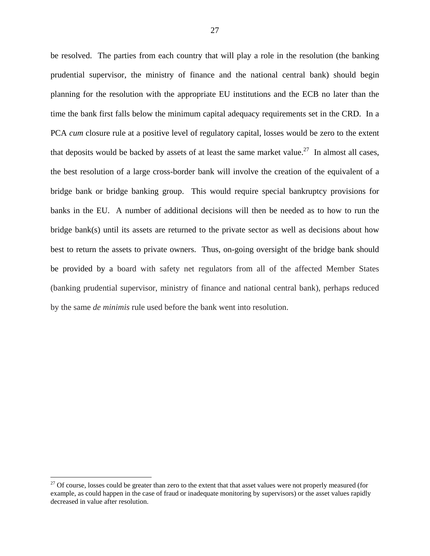be resolved. The parties from each country that will play a role in the resolution (the banking prudential supervisor, the ministry of finance and the national central bank) should begin planning for the resolution with the appropriate EU institutions and the ECB no later than the time the bank first falls below the minimum capital adequacy requirements set in the CRD. In a PCA *cum* closure rule at a positive level of regulatory capital, losses would be zero to the extent that deposits would be backed by assets of at least the same market value.<sup>27</sup> In almost all cases, the best resolution of a large cross-border bank will involve the creation of the equivalent of a bridge bank or bridge banking group. This would require special bankruptcy provisions for banks in the EU. A number of additional decisions will then be needed as to how to run the bridge bank(s) until its assets are returned to the private sector as well as decisions about how best to return the assets to private owners. Thus, on-going oversight of the bridge bank should be provided by a board with safety net regulators from all of the affected Member States (banking prudential supervisor, ministry of finance and national central bank), perhaps reduced by the same *de minimis* rule used before the bank went into resolution.

<sup>&</sup>lt;sup>27</sup> Of course, losses could be greater than zero to the extent that that asset values were not properly measured (for example, as could happen in the case of fraud or inadequate monitoring by supervisors) or the asset values rapidly decreased in value after resolution.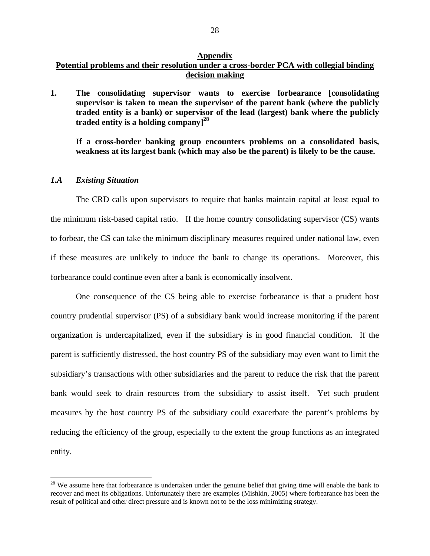## **Appendix Potential problems and their resolution under a cross-border PCA with collegial binding decision making**

**1. The consolidating supervisor wants to exercise forbearance [consolidating supervisor is taken to mean the supervisor of the parent bank (where the publicly traded entity is a bank) or supervisor of the lead (largest) bank where the publicly traded entity is a holding company]<sup>28</sup>**

**If a cross-border banking group encounters problems on a consolidated basis, weakness at its largest bank (which may also be the parent) is likely to be the cause.** 

#### *1.A Existing Situation*

1

 The CRD calls upon supervisors to require that banks maintain capital at least equal to the minimum risk-based capital ratio. If the home country consolidating supervisor (CS) wants to forbear, the CS can take the minimum disciplinary measures required under national law, even if these measures are unlikely to induce the bank to change its operations. Moreover, this forbearance could continue even after a bank is economically insolvent.

 One consequence of the CS being able to exercise forbearance is that a prudent host country prudential supervisor (PS) of a subsidiary bank would increase monitoring if the parent organization is undercapitalized, even if the subsidiary is in good financial condition. If the parent is sufficiently distressed, the host country PS of the subsidiary may even want to limit the subsidiary's transactions with other subsidiaries and the parent to reduce the risk that the parent bank would seek to drain resources from the subsidiary to assist itself. Yet such prudent measures by the host country PS of the subsidiary could exacerbate the parent's problems by reducing the efficiency of the group, especially to the extent the group functions as an integrated entity.

 $28$  We assume here that forbearance is undertaken under the genuine belief that giving time will enable the bank to recover and meet its obligations. Unfortunately there are examples (Mishkin, 2005) where forbearance has been the result of political and other direct pressure and is known not to be the loss minimizing strategy.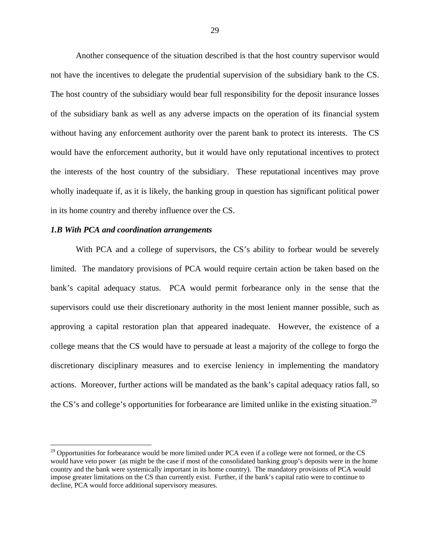Another consequence of the situation described is that the host country supervisor would not have the incentives to delegate the prudential supervision of the subsidiary bank to the CS. The host country of the subsidiary would bear full responsibility for the deposit insurance losses of the subsidiary bank as well as any adverse impacts on the operation of its financial system without having any enforcement authority over the parent bank to protect its interests. The CS would have the enforcement authority, but it would have only reputational incentives to protect the interests of the host country of the subsidiary. These reputational incentives may prove wholly inadequate if, as it is likely, the banking group in question has significant political power in its home country and thereby influence over the CS.

#### *1.B With PCA and coordination arrangements*

 $\overline{a}$ 

 With PCA and a college of supervisors, the CS's ability to forbear would be severely limited. The mandatory provisions of PCA would require certain action be taken based on the bank's capital adequacy status. PCA would permit forbearance only in the sense that the supervisors could use their discretionary authority in the most lenient manner possible, such as approving a capital restoration plan that appeared inadequate. However, the existence of a college means that the CS would have to persuade at least a majority of the college to forgo the discretionary disciplinary measures and to exercise leniency in implementing the mandatory actions. Moreover, further actions will be mandated as the bank's capital adequacy ratios fall, so the CS's and college's opportunities for forbearance are limited unlike in the existing situation.<sup>29</sup>

 $29$  Opportunities for forbearance would be more limited under PCA even if a college were not formed, or the CS would have veto power (as might be the case if most of the consolidated banking group's deposits were in the home country and the bank were systemically important in its home country). The mandatory provisions of PCA would impose greater limitations on the CS than currently exist. Further, if the bank's capital ratio were to continue to decline, PCA would force additional supervisory measures.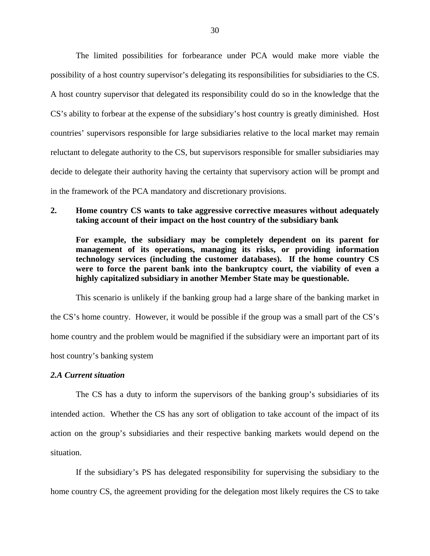The limited possibilities for forbearance under PCA would make more viable the possibility of a host country supervisor's delegating its responsibilities for subsidiaries to the CS. A host country supervisor that delegated its responsibility could do so in the knowledge that the CS's ability to forbear at the expense of the subsidiary's host country is greatly diminished. Host countries' supervisors responsible for large subsidiaries relative to the local market may remain reluctant to delegate authority to the CS, but supervisors responsible for smaller subsidiaries may decide to delegate their authority having the certainty that supervisory action will be prompt and in the framework of the PCA mandatory and discretionary provisions.

# **2. Home country CS wants to take aggressive corrective measures without adequately taking account of their impact on the host country of the subsidiary bank**

**For example, the subsidiary may be completely dependent on its parent for management of its operations, managing its risks, or providing information technology services (including the customer databases). If the home country CS were to force the parent bank into the bankruptcy court, the viability of even a highly capitalized subsidiary in another Member State may be questionable.** 

This scenario is unlikely if the banking group had a large share of the banking market in the CS's home country. However, it would be possible if the group was a small part of the CS's home country and the problem would be magnified if the subsidiary were an important part of its host country's banking system

#### *2.A Current situation*

The CS has a duty to inform the supervisors of the banking group's subsidiaries of its intended action. Whether the CS has any sort of obligation to take account of the impact of its action on the group's subsidiaries and their respective banking markets would depend on the situation.

If the subsidiary's PS has delegated responsibility for supervising the subsidiary to the home country CS, the agreement providing for the delegation most likely requires the CS to take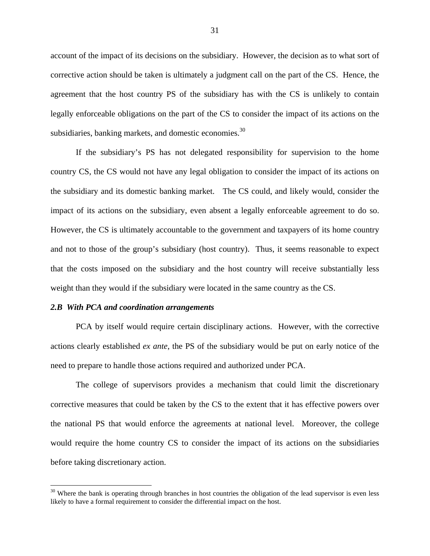account of the impact of its decisions on the subsidiary. However, the decision as to what sort of corrective action should be taken is ultimately a judgment call on the part of the CS. Hence, the agreement that the host country PS of the subsidiary has with the CS is unlikely to contain legally enforceable obligations on the part of the CS to consider the impact of its actions on the subsidiaries, banking markets, and domestic economies. $30$ 

If the subsidiary's PS has not delegated responsibility for supervision to the home country CS, the CS would not have any legal obligation to consider the impact of its actions on the subsidiary and its domestic banking market. The CS could, and likely would, consider the impact of its actions on the subsidiary, even absent a legally enforceable agreement to do so. However, the CS is ultimately accountable to the government and taxpayers of its home country and not to those of the group's subsidiary (host country). Thus, it seems reasonable to expect that the costs imposed on the subsidiary and the host country will receive substantially less weight than they would if the subsidiary were located in the same country as the CS.

#### *2.B With PCA and coordination arrangements*

 $\overline{a}$ 

PCA by itself would require certain disciplinary actions. However, with the corrective actions clearly established *ex ante*, the PS of the subsidiary would be put on early notice of the need to prepare to handle those actions required and authorized under PCA.

The college of supervisors provides a mechanism that could limit the discretionary corrective measures that could be taken by the CS to the extent that it has effective powers over the national PS that would enforce the agreements at national level. Moreover, the college would require the home country CS to consider the impact of its actions on the subsidiaries before taking discretionary action.

 $30$  Where the bank is operating through branches in host countries the obligation of the lead supervisor is even less likely to have a formal requirement to consider the differential impact on the host.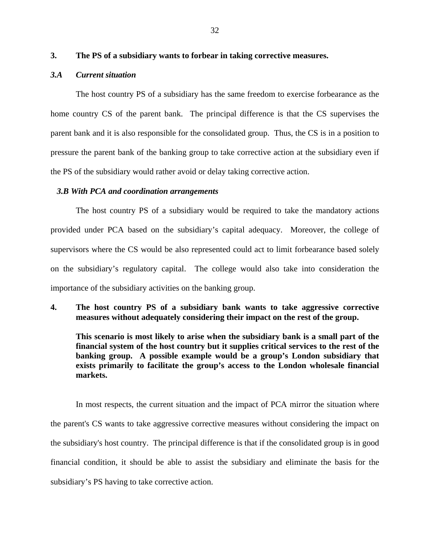## **3. The PS of a subsidiary wants to forbear in taking corrective measures.**

## *3.A Current situation*

The host country PS of a subsidiary has the same freedom to exercise forbearance as the home country CS of the parent bank. The principal difference is that the CS supervises the parent bank and it is also responsible for the consolidated group. Thus, the CS is in a position to pressure the parent bank of the banking group to take corrective action at the subsidiary even if the PS of the subsidiary would rather avoid or delay taking corrective action.

#### *3.B With PCA and coordination arrangements*

The host country PS of a subsidiary would be required to take the mandatory actions provided under PCA based on the subsidiary's capital adequacy. Moreover, the college of supervisors where the CS would be also represented could act to limit forbearance based solely on the subsidiary's regulatory capital. The college would also take into consideration the importance of the subsidiary activities on the banking group.

**4. The host country PS of a subsidiary bank wants to take aggressive corrective measures without adequately considering their impact on the rest of the group.** 

**This scenario is most likely to arise when the subsidiary bank is a small part of the financial system of the host country but it supplies critical services to the rest of the banking group. A possible example would be a group's London subsidiary that exists primarily to facilitate the group's access to the London wholesale financial markets.** 

In most respects, the current situation and the impact of PCA mirror the situation where the parent's CS wants to take aggressive corrective measures without considering the impact on the subsidiary's host country. The principal difference is that if the consolidated group is in good financial condition, it should be able to assist the subsidiary and eliminate the basis for the subsidiary's PS having to take corrective action.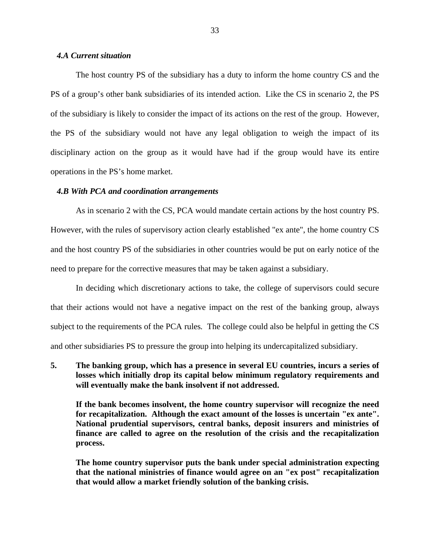## *4.A Current situation*

The host country PS of the subsidiary has a duty to inform the home country CS and the PS of a group's other bank subsidiaries of its intended action. Like the CS in scenario 2, the PS of the subsidiary is likely to consider the impact of its actions on the rest of the group. However, the PS of the subsidiary would not have any legal obligation to weigh the impact of its disciplinary action on the group as it would have had if the group would have its entire operations in the PS's home market.

#### *4.B With PCA and coordination arrangements*

As in scenario 2 with the CS, PCA would mandate certain actions by the host country PS. However, with the rules of supervisory action clearly established "ex ante", the home country CS and the host country PS of the subsidiaries in other countries would be put on early notice of the need to prepare for the corrective measures that may be taken against a subsidiary.

In deciding which discretionary actions to take, the college of supervisors could secure that their actions would not have a negative impact on the rest of the banking group, always subject to the requirements of the PCA rules*.* The college could also be helpful in getting the CS and other subsidiaries PS to pressure the group into helping its undercapitalized subsidiary.

**5. The banking group, which has a presence in several EU countries, incurs a series of losses which initially drop its capital below minimum regulatory requirements and will eventually make the bank insolvent if not addressed.** 

**If the bank becomes insolvent, the home country supervisor will recognize the need for recapitalization. Although the exact amount of the losses is uncertain "ex ante". National prudential supervisors, central banks, deposit insurers and ministries of finance are called to agree on the resolution of the crisis and the recapitalization process.** 

**The home country supervisor puts the bank under special administration expecting that the national ministries of finance would agree on an "ex post" recapitalization that would allow a market friendly solution of the banking crisis.**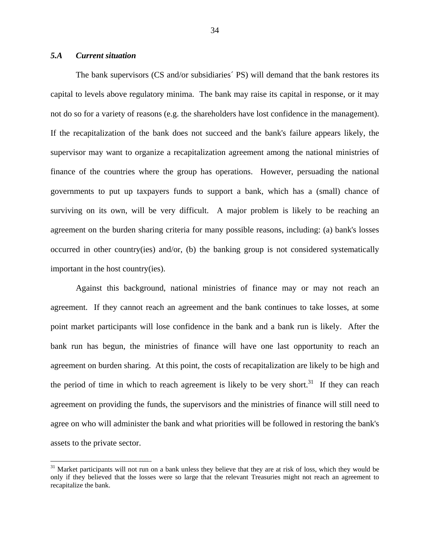## *5.A Current situation*

 $\overline{a}$ 

The bank supervisors (CS and/or subsidiaries´ PS) will demand that the bank restores its capital to levels above regulatory minima. The bank may raise its capital in response, or it may not do so for a variety of reasons (e.g. the shareholders have lost confidence in the management). If the recapitalization of the bank does not succeed and the bank's failure appears likely, the supervisor may want to organize a recapitalization agreement among the national ministries of finance of the countries where the group has operations. However, persuading the national governments to put up taxpayers funds to support a bank, which has a (small) chance of surviving on its own, will be very difficult. A major problem is likely to be reaching an agreement on the burden sharing criteria for many possible reasons, including: (a) bank's losses occurred in other country(ies) and/or, (b) the banking group is not considered systematically important in the host country(ies).

Against this background, national ministries of finance may or may not reach an agreement. If they cannot reach an agreement and the bank continues to take losses, at some point market participants will lose confidence in the bank and a bank run is likely. After the bank run has begun, the ministries of finance will have one last opportunity to reach an agreement on burden sharing. At this point, the costs of recapitalization are likely to be high and the period of time in which to reach agreement is likely to be very short.<sup>31</sup> If they can reach agreement on providing the funds, the supervisors and the ministries of finance will still need to agree on who will administer the bank and what priorities will be followed in restoring the bank's assets to the private sector.

<sup>&</sup>lt;sup>31</sup> Market participants will not run on a bank unless they believe that they are at risk of loss, which they would be only if they believed that the losses were so large that the relevant Treasuries might not reach an agreement to recapitalize the bank.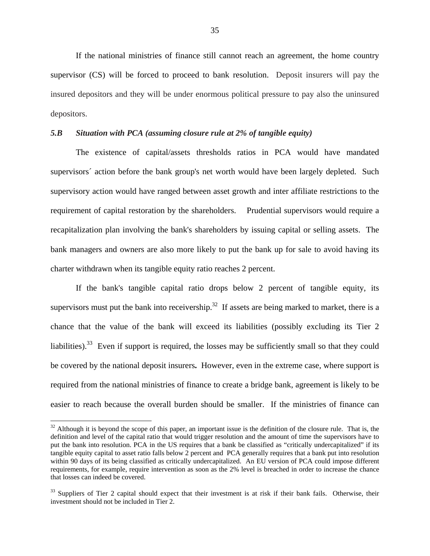If the national ministries of finance still cannot reach an agreement, the home country supervisor (CS) will be forced to proceed to bank resolution. Deposit insurers will pay the insured depositors and they will be under enormous political pressure to pay also the uninsured depositors.

#### *5.B Situation with PCA (assuming closure rule at 2% of tangible equity)*

The existence of capital/assets thresholds ratios in PCA would have mandated supervisors´ action before the bank group's net worth would have been largely depleted. Such supervisory action would have ranged between asset growth and inter affiliate restrictions to the requirement of capital restoration by the shareholders. Prudential supervisors would require a recapitalization plan involving the bank's shareholders by issuing capital or selling assets. The bank managers and owners are also more likely to put the bank up for sale to avoid having its charter withdrawn when its tangible equity ratio reaches 2 percent.

If the bank's tangible capital ratio drops below 2 percent of tangible equity, its supervisors must put the bank into receivership.<sup>32</sup> If assets are being marked to market, there is a chance that the value of the bank will exceed its liabilities (possibly excluding its Tier 2 liabilities).<sup>33</sup> Even if support is required, the losses may be sufficiently small so that they could be covered by the national deposit insurers**.** However, even in the extreme case, where support is required from the national ministries of finance to create a bridge bank, agreement is likely to be easier to reach because the overall burden should be smaller. If the ministries of finance can

 $32$  Although it is beyond the scope of this paper, an important issue is the definition of the closure rule. That is, the definition and level of the capital ratio that would trigger resolution and the amount of time the supervisors have to put the bank into resolution. PCA in the US requires that a bank be classified as "critically undercapitalized" if its tangible equity capital to asset ratio falls below 2 percent and PCA generally requires that a bank put into resolution within 90 days of its being classified as critically undercapitalized. An EU version of PCA could impose different requirements, for example, require intervention as soon as the 2% level is breached in order to increase the chance that losses can indeed be covered.

<sup>&</sup>lt;sup>33</sup> Suppliers of Tier 2 capital should expect that their investment is at risk if their bank fails. Otherwise, their investment should not be included in Tier 2.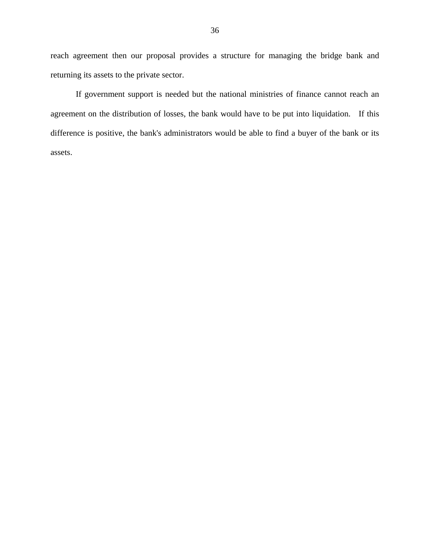reach agreement then our proposal provides a structure for managing the bridge bank and returning its assets to the private sector.

If government support is needed but the national ministries of finance cannot reach an agreement on the distribution of losses, the bank would have to be put into liquidation. If this difference is positive, the bank's administrators would be able to find a buyer of the bank or its assets.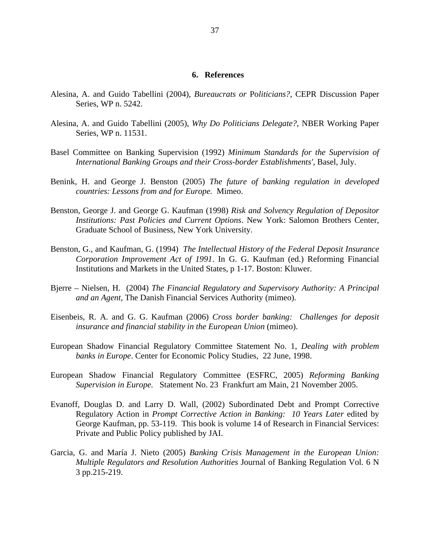#### **6. References**

- Alesina, A. and Guido Tabellini (2004), *Bureaucrats or* Po*liticians?*, CEPR Discussion Paper Series, WP n. 5242.
- Alesina, A. and Guido Tabellini (2005), *Why Do Politicians Delegate?*, NBER Working Paper Series, WP n. 11531.
- Basel Committee on Banking Supervision (1992) *Minimum Standards for the Supervision of International Banking Groups and their Cross-border Establishments'*, Basel, July.
- Benink, H. and George J. Benston (2005) *The future of banking regulation in developed countries: Lessons from and for Europe.* Mimeo.
- Benston, George J. and George G. Kaufman (1998) *Risk and Solvency Regulation of Depositor Institutions: Past Policies and Current Options*. New York: Salomon Brothers Center, Graduate School of Business, New York University.
- Benston, G., and Kaufman, G. (1994) *The Intellectual History of the Federal Deposit Insurance Corporation Improvement Act of 1991*. In G. G. Kaufman (ed.) Reforming Financial Institutions and Markets in the United States, p 1-17. Boston: Kluwer.
- Bjerre Nielsen, H. (2004) *The Financial Regulatory and Supervisory Authority: A Principal and an Agent,* The Danish Financial Services Authority (mimeo).
- Eisenbeis, R. A. and G. G. Kaufman (2006) *Cross border banking: Challenges for deposit insurance and financial stability in the European Union* (mimeo).
- European Shadow Financial Regulatory Committee Statement No. 1, *Dealing with problem banks in Europe*. Center for Economic Policy Studies, 22 June, 1998.
- European Shadow Financial Regulatory Committee (ESFRC, 2005) *Reforming Banking Supervision in Europe.* Statement No. 23 Frankfurt am Main, 21 November 2005.
- Evanoff, Douglas D. and Larry D. Wall, (2002) Subordinated Debt and Prompt Corrective Regulatory Action in *Prompt Corrective Action in Banking: 10 Years Later* edited by George Kaufman, pp. 53-119. This book is volume 14 of Research in Financial Services: Private and Public Policy published by JAI.
- Garcia, G. and María J. Nieto (2005) *Banking Crisis Management in the European Union: Multiple Regulators and Resolution Authorities* Journal of Banking Regulation Vol. 6 N 3 pp.215-219.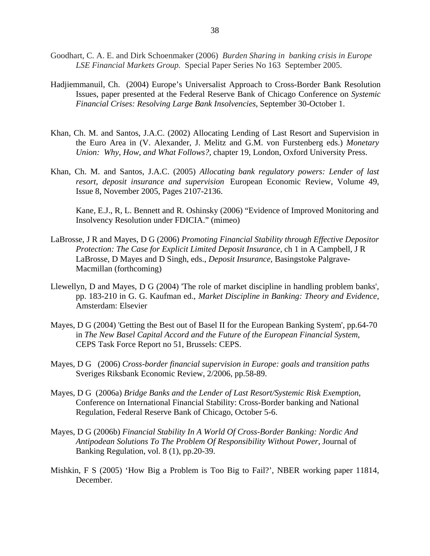- Goodhart, C. A. E. and Dirk Schoenmaker (2006) *Burden Sharing in banking crisis in Europe LSE Financial Markets Group.* Special Paper Series No 163 September 2005.
- Hadjiemmanuil, Ch. (2004) Europe's Universalist Approach to Cross-Border Bank Resolution Issues, paper presented at the Federal Reserve Bank of Chicago Conference on *Systemic Financial Crises: Resolving Large Bank Insolvencies*, September 30-October 1.
- Khan, Ch. M. and Santos, J.A.C. (2002) Allocating Lending of Last Resort and Supervision in the Euro Area in (V. Alexander, J. Melitz and G.M. von Furstenberg eds.) *Monetary Union: Why, How, and What Follows?*, chapter 19, London, Oxford University Press.
- Khan, Ch. M. and Santos, J.A.C. (2005) *Allocating bank regulatory powers: Lender of last resort, deposit insurance and supervision* European Economic Review, Volume 49, Issue 8, November 2005, Pages 2107-2136.

Kane, E.J., R, L. Bennett and R. Oshinsky (2006) "Evidence of Improved Monitoring and Insolvency Resolution under FDICIA." (mimeo)

- LaBrosse, J R and Mayes, D G (2006) *Promoting Financial Stability through Effective Depositor Protection: The Case for Explicit Limited Deposit Insurance*, ch 1 in A Campbell, J R LaBrosse, D Mayes and D Singh, eds., *Deposit Insurance*, Basingstoke Palgrave-Macmillan (forthcoming)
- Llewellyn, D and Mayes, D G (2004) 'The role of market discipline in handling problem banks', pp. 183-210 in G. G. Kaufman ed., *Market Discipline in Banking: Theory and Evidence*, Amsterdam: Elsevier
- Mayes, D G (2004) 'Getting the Best out of Basel II for the European Banking System', pp.64-70 in *The New Basel Capital Accord and the Future of the European Financial System*, CEPS Task Force Report no 51, Brussels: CEPS.
- Mayes, D G (2006) *Cross-border financial supervision in Europe: goals and transition paths*  Sveriges Riksbank Economic Review, 2/2006, pp.58-89.
- Mayes, D G (2006a) *Bridge Banks and the Lender of Last Resort/Systemic Risk Exemption*, Conference on International Financial Stability: Cross-Border banking and National Regulation, Federal Reserve Bank of Chicago, October 5-6.
- Mayes, D G (2006b) *Financial Stability In A World Of Cross-Border Banking: Nordic And Antipodean Solutions To The Problem Of Responsibility Without Power*, Journal of Banking Regulation, vol. 8 (1), pp.20-39.
- Mishkin, F S (2005) 'How Big a Problem is Too Big to Fail?', NBER working paper 11814, December.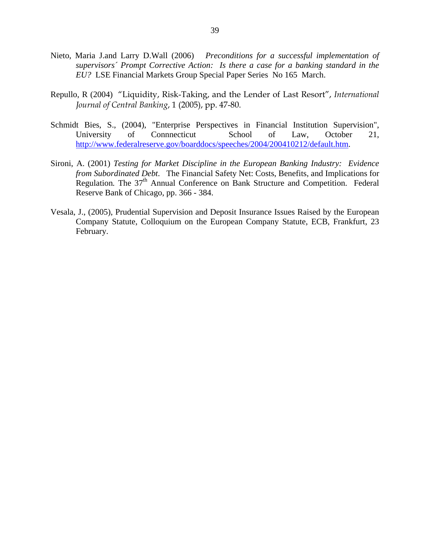- Nieto, Maria J.and Larry D.Wall (2006) *Preconditions for a successful implementation of supervisors´ Prompt Corrective Action: Is there a case for a banking standard in the EU?* LSE Financial Markets Group Special Paper Series No 165 March.
- Repullo, R (2004) "Liquidity, Risk-Taking, and the Lender of Last Resort", *International Journal of Central Banking*, 1 (2005), pp. 47-80.
- Schmidt Bies, S., (2004), "Enterprise Perspectives in Financial Institution Supervision", University of Connnecticut School of Law, October 21, http://www.federalreserve.gov/boarddocs/speeches/2004/200410212/default.htm.
- Sironi, A. (2001) *Testing for Market Discipline in the European Banking Industry: Evidence from Subordinated Debt*. The Financial Safety Net: Costs, Benefits, and Implications for Regulation. The 37<sup>th</sup> Annual Conference on Bank Structure and Competition. Federal Reserve Bank of Chicago, pp. 366 - 384.
- Vesala, J., (2005), Prudential Supervision and Deposit Insurance Issues Raised by the European Company Statute, Colloquium on the European Company Statute, ECB, Frankfurt, 23 February.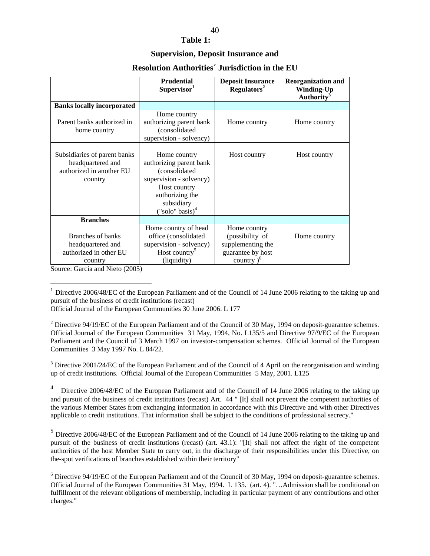# **Table 1:**

#### **Supervision, Deposit Insurance and**

# **Resolution Authorities´ Jurisdiction in the EU**

|                                                                                          | <b>Prudential</b><br>Supervisor <sup>1</sup>                                                                                                                        | <b>Deposit Insurance</b><br>Regulators <sup>2</sup>                                              | <b>Reorganization and</b><br>Winding-Up<br>Authority <sup>3</sup> |
|------------------------------------------------------------------------------------------|---------------------------------------------------------------------------------------------------------------------------------------------------------------------|--------------------------------------------------------------------------------------------------|-------------------------------------------------------------------|
| <b>Banks locally incorporated</b>                                                        |                                                                                                                                                                     |                                                                                                  |                                                                   |
| Parent banks authorized in<br>home country                                               | Home country<br>authorizing parent bank<br>(consolidated)<br>supervision - solvency)                                                                                | Home country                                                                                     | Home country                                                      |
| Subsidiaries of parent banks<br>headquartered and<br>authorized in another EU<br>country | Home country<br>authorizing parent bank<br>(consolidated<br>supervision - solvency)<br>Host country<br>authorizing the<br>subsidiary<br>("solo" basis) <sup>4</sup> | Host country                                                                                     | Host country                                                      |
| <b>Branches</b>                                                                          |                                                                                                                                                                     |                                                                                                  |                                                                   |
| Branches of banks<br>headquartered and<br>authorized in other EU<br>country              | Home country of head<br>office (consolidated<br>supervision - solvency)<br>Host country <sup>5</sup><br>(liquidity)                                                 | Home country<br>(possibility of<br>supplementing the<br>guarantee by host<br>country $)^{\circ}$ | Home country                                                      |

Source: Garcia and Nieto (2005)

 $\overline{a}$ 

Official Journal of the European Communities 30 June 2006. L 177

<sup>2</sup> Directive 94/19/EC of the European Parliament and of the Council of 30 May, 1994 on deposit-guarantee schemes. Official Journal of the European Communities 31 May, 1994, No. L135/5 and Directive 97/9/EC of the European Parliament and the Council of 3 March 1997 on investor-compensation schemes. Official Journal of the European Communities 3 May 1997 No. L 84/22.

 $3$  Directive 2001/24/EC of the European Parliament and of the Council of 4 April on the reorganisation and winding up of credit institutions. Official Journal of the European Communities 5 May, 2001. L125

4 Directive 2006/48/EC of the European Parliament and of the Council of 14 June 2006 relating to the taking up and pursuit of the business of credit institutions (recast) Art. 44 " [It] shall not prevent the competent authorities of the various Member States from exchanging information in accordance with this Directive and with other Directives applicable to credit institutions. That information shall be subject to the conditions of professional secrecy."

<sup>5</sup> Directive 2006/48/EC of the European Parliament and of the Council of 14 June 2006 relating to the taking up and pursuit of the business of credit institutions (recast) (art. 43.1): "[It] shall not affect the right of the competent authorities of the host Member State to carry out, in the discharge of their responsibilities under this Directive, on the-spot verifications of branches established within their territory"

 $6$  Directive 94/19/EC of the European Parliament and of the Council of 30 May, 1994 on deposit-guarantee schemes. Official Journal of the European Communities 31 May, 1994. L 135. (art. 4). "…Admission shall be conditional on fulfillment of the relevant obligations of membership, including in particular payment of any contributions and other charges."

<sup>&</sup>lt;sup>1</sup> Directive 2006/48/EC of the European Parliament and of the Council of 14 June 2006 relating to the taking up and pursuit of the business of credit institutions (recast)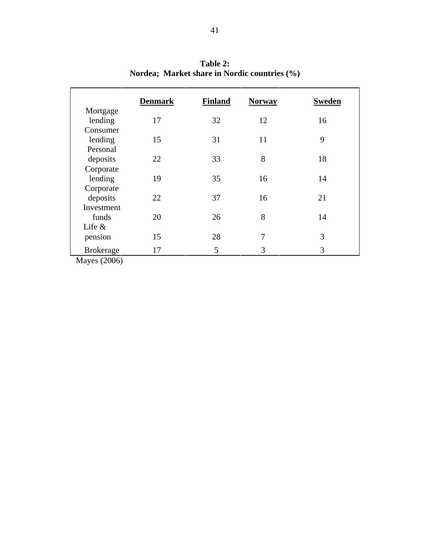|                  | <b>Denmark</b> | <b>Finland</b> | <b>Norway</b> | <b>Sweden</b> |
|------------------|----------------|----------------|---------------|---------------|
| Mortgage         |                |                |               |               |
| lending          | 17             | 32             | 12            | 16            |
| Consumer         |                |                |               |               |
| lending          | 15             | 31             | 11            | 9             |
| Personal         |                |                |               |               |
| deposits         | 22             | 33             | 8             | 18            |
| Corporate        |                |                |               |               |
| lending          | 19             | 35             | 16            | 14            |
| Corporate        |                |                |               |               |
| deposits         | 22             | 37             | 16            | 21            |
| Investment       |                |                |               |               |
| funds            | 20             | 26             | 8             | 14            |
| Life $\&$        |                |                |               |               |
| pension          | 15             | 28             | 7             | 3             |
| <b>Brokerage</b> | 17             | 5              | 3             | 3             |

**Table 2: Nordea; Market share in Nordic countries (%)** 

Mayes (2006)